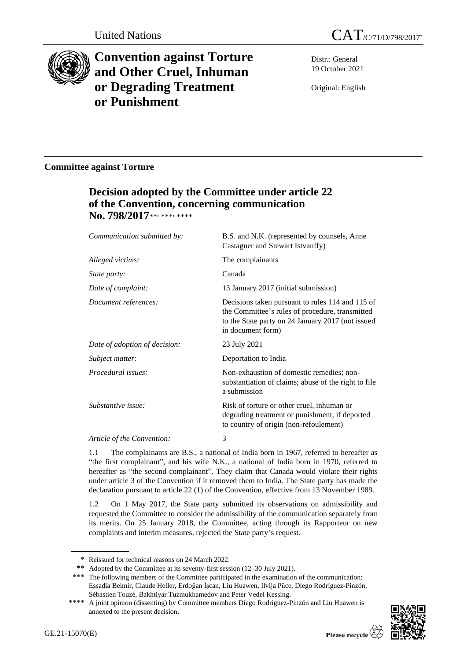

# **Convention against Torture and Other Cruel, Inhuman or Degrading Treatment or Punishment**

Distr.: General 19 October 2021

Original: English

### **Committee against Torture**

## **Decision adopted by the Committee under article 22 of the Convention, concerning communication**  No. 798/2017\*\*, \*\*\*, \*\*\*\*

| Communication submitted by:   | B.S. and N.K. (represented by counsels, Anne<br>Castagner and Stewart Istvanffy)                                                                                              |
|-------------------------------|-------------------------------------------------------------------------------------------------------------------------------------------------------------------------------|
| Alleged victims:              | The complainants                                                                                                                                                              |
| <i>State party:</i>           | Canada                                                                                                                                                                        |
| Date of complaint:            | 13 January 2017 (initial submission)                                                                                                                                          |
| Document references:          | Decisions taken pursuant to rules 114 and 115 of<br>the Committee's rules of procedure, transmitted<br>to the State party on 24 January 2017 (not issued<br>in document form) |
| Date of adoption of decision: | 23 July 2021                                                                                                                                                                  |
| Subject matter:               | Deportation to India                                                                                                                                                          |
| Procedural issues:            | Non-exhaustion of domestic remedies; non-<br>substantiation of claims; abuse of the right to file<br>a submission                                                             |
| Substantive issue:            | Risk of torture or other cruel, inhuman or<br>degrading treatment or punishment, if deported<br>to country of origin (non-refoulement)                                        |
| Article of the Convention:    | 3                                                                                                                                                                             |

1.1 The complainants are B.S., a national of India born in 1967, referred to hereafter as "the first complainant", and his wife N.K., a national of India born in 1970, referred to hereafter as "the second complainant". They claim that Canada would violate their rights under article 3 of the Convention if it removed them to India. The State party has made the declaration pursuant to article 22 (1) of the Convention, effective from 13 November 1989.

1.2 On 1 May 2017, the State party submitted its observations on admissibility and requested the Committee to consider the admissibility of the communication separately from its merits. On 25 January 2018, the Committee, acting through its Rapporteur on new complaints and interim measures, rejected the State party's request.

<sup>\*\*\*\*</sup> A joint opinion (dissenting) by Committee members Diego Rodriguez-Pinzón and Liu Huawen is annexed to the present decision.



<sup>\*</sup> Reissued for technical reasons on 24 March 2022.

<sup>\*\*</sup> Adopted by the Committee at its seventy-first session (12–30 July 2021).

<sup>\*\*\*</sup> The following members of the Committee participated in the examination of the communication: Essadia Belmir, Claude Heller, Erdoğan İşcan, Liu Huawen, Ilvija Pūce, Diego Rodríguez-Pinzón, Sébastien Touzé, Bakhtiyar Tuzmukhamedov and Peter Vedel Kessing.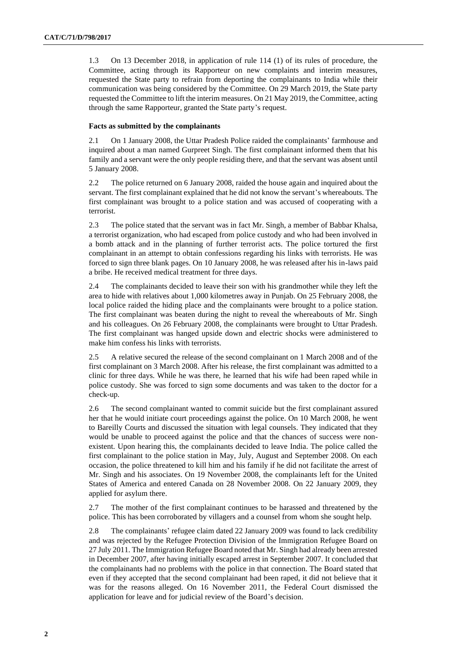1.3 On 13 December 2018, in application of rule 114 (1) of its rules of procedure, the Committee, acting through its Rapporteur on new complaints and interim measures, requested the State party to refrain from deporting the complainants to India while their communication was being considered by the Committee. On 29 March 2019, the State party requested the Committee to lift the interim measures. On 21 May 2019, the Committee, acting through the same Rapporteur, granted the State party's request.

#### **Facts as submitted by the complainants**

2.1 On 1 January 2008, the Uttar Pradesh Police raided the complainants' farmhouse and inquired about a man named Gurpreet Singh. The first complainant informed them that his family and a servant were the only people residing there, and that the servant was absent until 5 January 2008.

2.2 The police returned on 6 January 2008, raided the house again and inquired about the servant. The first complainant explained that he did not know the servant's whereabouts. The first complainant was brought to a police station and was accused of cooperating with a terrorist.

2.3 The police stated that the servant was in fact Mr. Singh, a member of Babbar Khalsa, a terrorist organization, who had escaped from police custody and who had been involved in a bomb attack and in the planning of further terrorist acts. The police tortured the first complainant in an attempt to obtain confessions regarding his links with terrorists. He was forced to sign three blank pages. On 10 January 2008, he was released after his in-laws paid a bribe. He received medical treatment for three days.

2.4 The complainants decided to leave their son with his grandmother while they left the area to hide with relatives about 1,000 kilometres away in Punjab. On 25 February 2008, the local police raided the hiding place and the complainants were brought to a police station. The first complainant was beaten during the night to reveal the whereabouts of Mr. Singh and his colleagues. On 26 February 2008, the complainants were brought to Uttar Pradesh. The first complainant was hanged upside down and electric shocks were administered to make him confess his links with terrorists.

2.5 A relative secured the release of the second complainant on 1 March 2008 and of the first complainant on 3 March 2008. After his release, the first complainant was admitted to a clinic for three days. While he was there, he learned that his wife had been raped while in police custody. She was forced to sign some documents and was taken to the doctor for a check-up.

2.6 The second complainant wanted to commit suicide but the first complainant assured her that he would initiate court proceedings against the police. On 10 March 2008, he went to Bareilly Courts and discussed the situation with legal counsels. They indicated that they would be unable to proceed against the police and that the chances of success were nonexistent. Upon hearing this, the complainants decided to leave India. The police called the first complainant to the police station in May, July, August and September 2008. On each occasion, the police threatened to kill him and his family if he did not facilitate the arrest of Mr. Singh and his associates. On 19 November 2008, the complainants left for the United States of America and entered Canada on 28 November 2008. On 22 January 2009, they applied for asylum there.

2.7 The mother of the first complainant continues to be harassed and threatened by the police. This has been corroborated by villagers and a counsel from whom she sought help.

2.8 The complainants' refugee claim dated 22 January 2009 was found to lack credibility and was rejected by the Refugee Protection Division of the Immigration Refugee Board on 27 July 2011. The Immigration Refugee Board noted that Mr. Singh had already been arrested in December 2007, after having initially escaped arrest in September 2007. It concluded that the complainants had no problems with the police in that connection. The Board stated that even if they accepted that the second complainant had been raped, it did not believe that it was for the reasons alleged. On 16 November 2011, the Federal Court dismissed the application for leave and for judicial review of the Board's decision.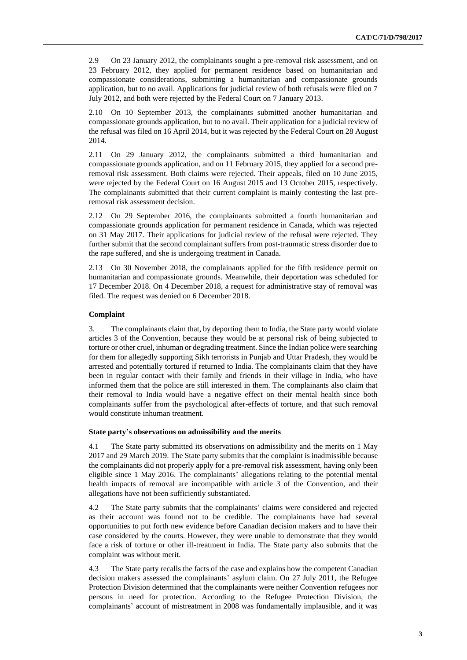2.9 On 23 January 2012, the complainants sought a pre-removal risk assessment, and on 23 February 2012, they applied for permanent residence based on humanitarian and compassionate considerations, submitting a humanitarian and compassionate grounds application, but to no avail. Applications for judicial review of both refusals were filed on 7 July 2012, and both were rejected by the Federal Court on 7 January 2013.

2.10 On 10 September 2013, the complainants submitted another humanitarian and compassionate grounds application, but to no avail. Their application for a judicial review of the refusal was filed on 16 April 2014, but it was rejected by the Federal Court on 28 August 2014.

2.11 On 29 January 2012, the complainants submitted a third humanitarian and compassionate grounds application, and on 11 February 2015, they applied for a second preremoval risk assessment. Both claims were rejected. Their appeals, filed on 10 June 2015, were rejected by the Federal Court on 16 August 2015 and 13 October 2015, respectively. The complainants submitted that their current complaint is mainly contesting the last preremoval risk assessment decision.

2.12 On 29 September 2016, the complainants submitted a fourth humanitarian and compassionate grounds application for permanent residence in Canada, which was rejected on 31 May 2017. Their applications for judicial review of the refusal were rejected. They further submit that the second complainant suffers from post-traumatic stress disorder due to the rape suffered, and she is undergoing treatment in Canada.

2.13 On 30 November 2018, the complainants applied for the fifth residence permit on humanitarian and compassionate grounds. Meanwhile, their deportation was scheduled for 17 December 2018. On 4 December 2018, a request for administrative stay of removal was filed. The request was denied on 6 December 2018.

#### **Complaint**

3. The complainants claim that, by deporting them to India, the State party would violate articles 3 of the Convention, because they would be at personal risk of being subjected to torture or other cruel, inhuman or degrading treatment. Since the Indian police were searching for them for allegedly supporting Sikh terrorists in Punjab and Uttar Pradesh, they would be arrested and potentially tortured if returned to India. The complainants claim that they have been in regular contact with their family and friends in their village in India, who have informed them that the police are still interested in them. The complainants also claim that their removal to India would have a negative effect on their mental health since both complainants suffer from the psychological after-effects of torture, and that such removal would constitute inhuman treatment.

#### **State party's observations on admissibility and the merits**

4.1 The State party submitted its observations on admissibility and the merits on 1 May 2017 and 29 March 2019. The State party submits that the complaint is inadmissible because the complainants did not properly apply for a pre-removal risk assessment, having only been eligible since 1 May 2016. The complainants' allegations relating to the potential mental health impacts of removal are incompatible with article 3 of the Convention, and their allegations have not been sufficiently substantiated.

4.2 The State party submits that the complainants' claims were considered and rejected as their account was found not to be credible. The complainants have had several opportunities to put forth new evidence before Canadian decision makers and to have their case considered by the courts. However, they were unable to demonstrate that they would face a risk of torture or other ill-treatment in India. The State party also submits that the complaint was without merit.

4.3 The State party recalls the facts of the case and explains how the competent Canadian decision makers assessed the complainants' asylum claim. On 27 July 2011, the Refugee Protection Division determined that the complainants were neither Convention refugees nor persons in need for protection. According to the Refugee Protection Division, the complainants' account of mistreatment in 2008 was fundamentally implausible, and it was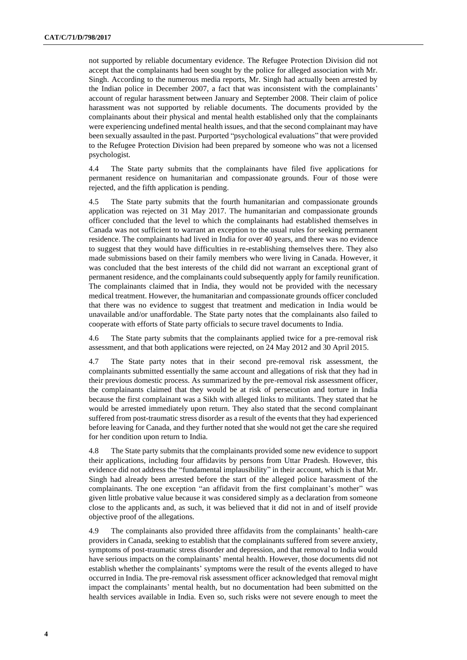not supported by reliable documentary evidence. The Refugee Protection Division did not accept that the complainants had been sought by the police for alleged association with Mr. Singh. According to the numerous media reports, Mr. Singh had actually been arrested by the Indian police in December 2007, a fact that was inconsistent with the complainants' account of regular harassment between January and September 2008. Their claim of police harassment was not supported by reliable documents. The documents provided by the complainants about their physical and mental health established only that the complainants were experiencing undefined mental health issues, and that the second complainant may have been sexually assaulted in the past. Purported "psychological evaluations" that were provided to the Refugee Protection Division had been prepared by someone who was not a licensed psychologist.

4.4 The State party submits that the complainants have filed five applications for permanent residence on humanitarian and compassionate grounds. Four of those were rejected, and the fifth application is pending.

4.5 The State party submits that the fourth humanitarian and compassionate grounds application was rejected on 31 May 2017. The humanitarian and compassionate grounds officer concluded that the level to which the complainants had established themselves in Canada was not sufficient to warrant an exception to the usual rules for seeking permanent residence. The complainants had lived in India for over 40 years, and there was no evidence to suggest that they would have difficulties in re-establishing themselves there. They also made submissions based on their family members who were living in Canada. However, it was concluded that the best interests of the child did not warrant an exceptional grant of permanent residence, and the complainants could subsequently apply for family reunification. The complainants claimed that in India, they would not be provided with the necessary medical treatment. However, the humanitarian and compassionate grounds officer concluded that there was no evidence to suggest that treatment and medication in India would be unavailable and/or unaffordable. The State party notes that the complainants also failed to cooperate with efforts of State party officials to secure travel documents to India.

4.6 The State party submits that the complainants applied twice for a pre-removal risk assessment, and that both applications were rejected, on 24 May 2012 and 30 April 2015.

4.7 The State party notes that in their second pre-removal risk assessment, the complainants submitted essentially the same account and allegations of risk that they had in their previous domestic process. As summarized by the pre-removal risk assessment officer, the complainants claimed that they would be at risk of persecution and torture in India because the first complainant was a Sikh with alleged links to militants. They stated that he would be arrested immediately upon return. They also stated that the second complainant suffered from post-traumatic stress disorder as a result of the events that they had experienced before leaving for Canada, and they further noted that she would not get the care she required for her condition upon return to India.

4.8 The State party submits that the complainants provided some new evidence to support their applications, including four affidavits by persons from Uttar Pradesh. However, this evidence did not address the "fundamental implausibility" in their account, which is that Mr. Singh had already been arrested before the start of the alleged police harassment of the complainants. The one exception "an affidavit from the first complainant's mother" was given little probative value because it was considered simply as a declaration from someone close to the applicants and, as such, it was believed that it did not in and of itself provide objective proof of the allegations.

4.9 The complainants also provided three affidavits from the complainants' health-care providers in Canada, seeking to establish that the complainants suffered from severe anxiety, symptoms of post-traumatic stress disorder and depression, and that removal to India would have serious impacts on the complainants' mental health. However, those documents did not establish whether the complainants' symptoms were the result of the events alleged to have occurred in India. The pre-removal risk assessment officer acknowledged that removal might impact the complainants' mental health, but no documentation had been submitted on the health services available in India. Even so, such risks were not severe enough to meet the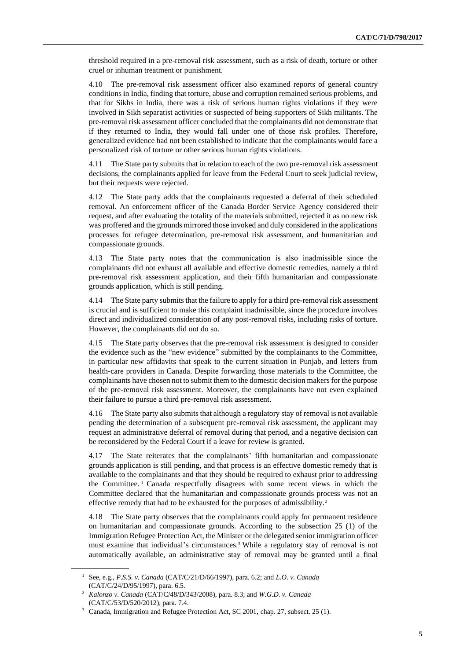threshold required in a pre-removal risk assessment, such as a risk of death, torture or other cruel or inhuman treatment or punishment.

4.10 The pre-removal risk assessment officer also examined reports of general country conditions in India, finding that torture, abuse and corruption remained serious problems, and that for Sikhs in India, there was a risk of serious human rights violations if they were involved in Sikh separatist activities or suspected of being supporters of Sikh militants. The pre-removal risk assessment officer concluded that the complainants did not demonstrate that if they returned to India, they would fall under one of those risk profiles. Therefore, generalized evidence had not been established to indicate that the complainants would face a personalized risk of torture or other serious human rights violations.

4.11 The State party submits that in relation to each of the two pre-removal risk assessment decisions, the complainants applied for leave from the Federal Court to seek judicial review, but their requests were rejected.

4.12 The State party adds that the complainants requested a deferral of their scheduled removal. An enforcement officer of the Canada Border Service Agency considered their request, and after evaluating the totality of the materials submitted, rejected it as no new risk was proffered and the grounds mirrored those invoked and duly considered in the applications processes for refugee determination, pre-removal risk assessment, and humanitarian and compassionate grounds.

4.13 The State party notes that the communication is also inadmissible since the complainants did not exhaust all available and effective domestic remedies, namely a third pre-removal risk assessment application, and their fifth humanitarian and compassionate grounds application, which is still pending.

4.14 The State party submits that the failure to apply for a third pre-removal risk assessment is crucial and is sufficient to make this complaint inadmissible, since the procedure involves direct and individualized consideration of any post-removal risks, including risks of torture. However, the complainants did not do so.

4.15 The State party observes that the pre-removal risk assessment is designed to consider the evidence such as the "new evidence" submitted by the complainants to the Committee, in particular new affidavits that speak to the current situation in Punjab, and letters from health-care providers in Canada. Despite forwarding those materials to the Committee, the complainants have chosen not to submit them to the domestic decision makers for the purpose of the pre-removal risk assessment. Moreover, the complainants have not even explained their failure to pursue a third pre-removal risk assessment.

4.16 The State party also submits that although a regulatory stay of removal is not available pending the determination of a subsequent pre-removal risk assessment, the applicant may request an administrative deferral of removal during that period, and a negative decision can be reconsidered by the Federal Court if a leave for review is granted.

4.17 The State reiterates that the complainants' fifth humanitarian and compassionate grounds application is still pending, and that process is an effective domestic remedy that is available to the complainants and that they should be required to exhaust prior to addressing the Committee. <sup>1</sup> Canada respectfully disagrees with some recent views in which the Committee declared that the humanitarian and compassionate grounds process was not an effective remedy that had to be exhausted for the purposes of admissibility.<sup>2</sup>

4.18 The State party observes that the complainants could apply for permanent residence on humanitarian and compassionate grounds. According to the subsection 25 (1) of the Immigration Refugee Protection Act, the Minister or the delegated senior immigration officer must examine that individual's circumstances.<sup>3</sup> While a regulatory stay of removal is not automatically available, an administrative stay of removal may be granted until a final

<sup>1</sup> See, e.g., *P.S.S. v. Canada* (CAT/C/21/D/66/1997), para. 6.2; and *L.O. v. Canada* (CAT/C/24/D/95/1997), para. 6.5.

<sup>2</sup> *Kalonzo v. Canada* (CAT/C/48/D/343/2008), para. 8.3; and *W.G.D. v. Canada* (CAT/C/53/D/520/2012), para. 7.4.

<sup>3</sup> Canada, Immigration and Refugee Protection Act, SC 2001, chap. 27, subsect. 25 (1).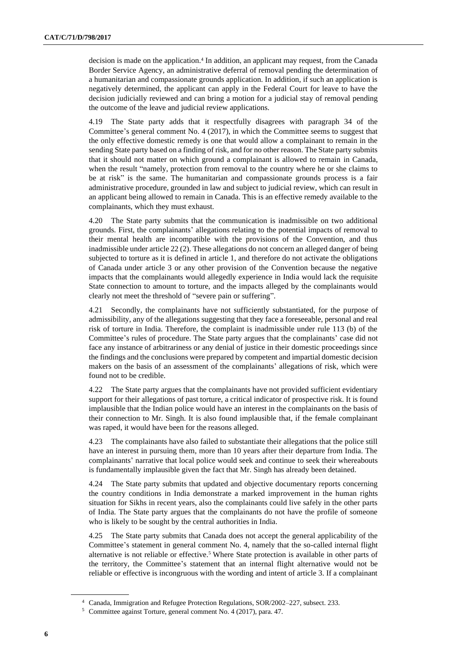decision is made on the application.<sup>4</sup> In addition, an applicant may request, from the Canada Border Service Agency, an administrative deferral of removal pending the determination of a humanitarian and compassionate grounds application. In addition, if such an application is negatively determined, the applicant can apply in the Federal Court for leave to have the decision judicially reviewed and can bring a motion for a judicial stay of removal pending the outcome of the leave and judicial review applications.

4.19 The State party adds that it respectfully disagrees with paragraph 34 of the Committee's general comment No. 4 (2017), in which the Committee seems to suggest that the only effective domestic remedy is one that would allow a complainant to remain in the sending State party based on a finding of risk, and for no other reason. The State party submits that it should not matter on which ground a complainant is allowed to remain in Canada, when the result "namely, protection from removal to the country where he or she claims to be at risk" is the same. The humanitarian and compassionate grounds process is a fair administrative procedure, grounded in law and subject to judicial review, which can result in an applicant being allowed to remain in Canada. This is an effective remedy available to the complainants, which they must exhaust.

4.20 The State party submits that the communication is inadmissible on two additional grounds. First, the complainants' allegations relating to the potential impacts of removal to their mental health are incompatible with the provisions of the Convention, and thus inadmissible under article 22 (2). These allegations do not concern an alleged danger of being subjected to torture as it is defined in article 1, and therefore do not activate the obligations of Canada under article 3 or any other provision of the Convention because the negative impacts that the complainants would allegedly experience in India would lack the requisite State connection to amount to torture, and the impacts alleged by the complainants would clearly not meet the threshold of "severe pain or suffering".

Secondly, the complainants have not sufficiently substantiated, for the purpose of admissibility, any of the allegations suggesting that they face a foreseeable, personal and real risk of torture in India. Therefore, the complaint is inadmissible under rule 113 (b) of the Committee's rules of procedure. The State party argues that the complainants' case did not face any instance of arbitrariness or any denial of justice in their domestic proceedings since the findings and the conclusions were prepared by competent and impartial domestic decision makers on the basis of an assessment of the complainants' allegations of risk, which were found not to be credible.

4.22 The State party argues that the complainants have not provided sufficient evidentiary support for their allegations of past torture, a critical indicator of prospective risk. It is found implausible that the Indian police would have an interest in the complainants on the basis of their connection to Mr. Singh. It is also found implausible that, if the female complainant was raped, it would have been for the reasons alleged.

4.23 The complainants have also failed to substantiate their allegations that the police still have an interest in pursuing them, more than 10 years after their departure from India. The complainants' narrative that local police would seek and continue to seek their whereabouts is fundamentally implausible given the fact that Mr. Singh has already been detained.

4.24 The State party submits that updated and objective documentary reports concerning the country conditions in India demonstrate a marked improvement in the human rights situation for Sikhs in recent years, also the complainants could live safely in the other parts of India. The State party argues that the complainants do not have the profile of someone who is likely to be sought by the central authorities in India.

4.25 The State party submits that Canada does not accept the general applicability of the Committee's statement in general comment No. 4, namely that the so-called internal flight alternative is not reliable or effective.<sup>5</sup> Where State protection is available in other parts of the territory, the Committee's statement that an internal flight alternative would not be reliable or effective is incongruous with the wording and intent of article 3. If a complainant

<sup>4</sup> Canada, Immigration and Refugee Protection Regulations, SOR/2002–227, subsect. 233.

<sup>5</sup> Committee against Torture, general comment No. 4 (2017), para. 47.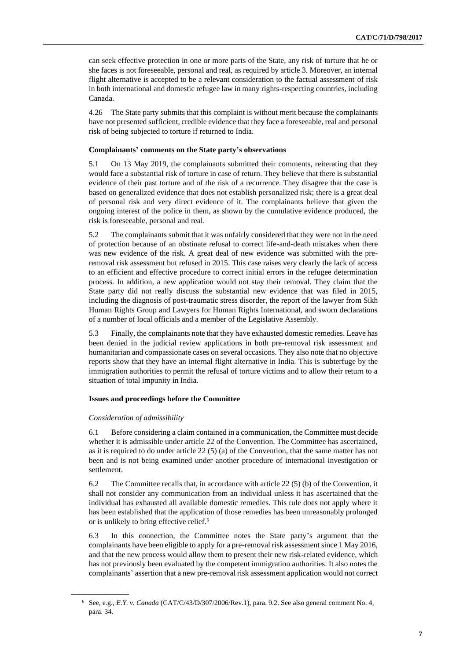can seek effective protection in one or more parts of the State, any risk of torture that he or she faces is not foreseeable, personal and real, as required by article 3. Moreover, an internal flight alternative is accepted to be a relevant consideration to the factual assessment of risk in both international and domestic refugee law in many rights-respecting countries, including Canada.

4.26 The State party submits that this complaint is without merit because the complainants have not presented sufficient, credible evidence that they face a foreseeable, real and personal risk of being subjected to torture if returned to India.

#### **Complainants' comments on the State party's observations**

5.1 On 13 May 2019, the complainants submitted their comments, reiterating that they would face a substantial risk of torture in case of return. They believe that there is substantial evidence of their past torture and of the risk of a recurrence. They disagree that the case is based on generalized evidence that does not establish personalized risk; there is a great deal of personal risk and very direct evidence of it. The complainants believe that given the ongoing interest of the police in them, as shown by the cumulative evidence produced, the risk is foreseeable, personal and real.

5.2 The complainants submit that it was unfairly considered that they were not in the need of protection because of an obstinate refusal to correct life-and-death mistakes when there was new evidence of the risk. A great deal of new evidence was submitted with the preremoval risk assessment but refused in 2015. This case raises very clearly the lack of access to an efficient and effective procedure to correct initial errors in the refugee determination process. In addition, a new application would not stay their removal. They claim that the State party did not really discuss the substantial new evidence that was filed in 2015, including the diagnosis of post-traumatic stress disorder, the report of the lawyer from Sikh Human Rights Group and Lawyers for Human Rights International, and sworn declarations of a number of local officials and a member of the Legislative Assembly.

5.3 Finally, the complainants note that they have exhausted domestic remedies. Leave has been denied in the judicial review applications in both pre-removal risk assessment and humanitarian and compassionate cases on several occasions. They also note that no objective reports show that they have an internal flight alternative in India. This is subterfuge by the immigration authorities to permit the refusal of torture victims and to allow their return to a situation of total impunity in India.

#### **Issues and proceedings before the Committee**

#### *Consideration of admissibility*

6.1 Before considering a claim contained in a communication, the Committee must decide whether it is admissible under article 22 of the Convention. The Committee has ascertained, as it is required to do under article 22 (5) (a) of the Convention, that the same matter has not been and is not being examined under another procedure of international investigation or settlement.

6.2 The Committee recalls that, in accordance with article 22 (5) (b) of the Convention, it shall not consider any communication from an individual unless it has ascertained that the individual has exhausted all available domestic remedies. This rule does not apply where it has been established that the application of those remedies has been unreasonably prolonged or is unlikely to bring effective relief.<sup>6</sup>

6.3 In this connection, the Committee notes the State party's argument that the complainants have been eligible to apply for a pre-removal risk assessment since 1 May 2016, and that the new process would allow them to present their new risk-related evidence, which has not previously been evaluated by the competent immigration authorities. It also notes the complainants' assertion that a new pre-removal risk assessment application would not correct

<sup>6</sup> See, e.g., *E.Y. v. Canada* (CAT/C/43/D/307/2006/Rev.1), para. 9.2. See also general comment No. 4, para. 34.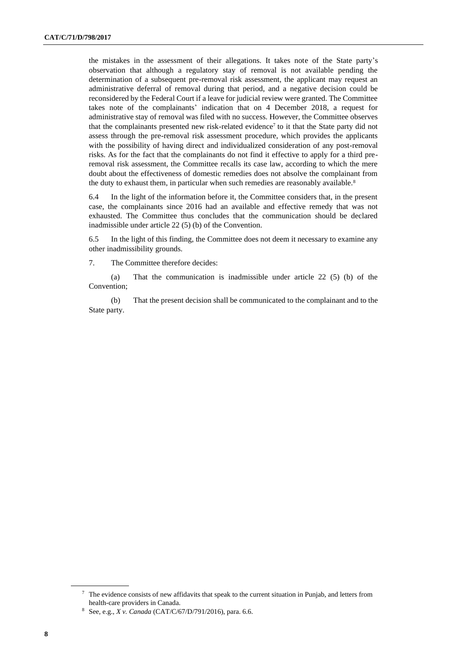the mistakes in the assessment of their allegations. It takes note of the State party's observation that although a regulatory stay of removal is not available pending the determination of a subsequent pre-removal risk assessment, the applicant may request an administrative deferral of removal during that period, and a negative decision could be reconsidered by the Federal Court if a leave for judicial review were granted. The Committee takes note of the complainants' indication that on 4 December 2018, a request for administrative stay of removal was filed with no success. However, the Committee observes that the complainants presented new risk-related evidence<sup>7</sup> to it that the State party did not assess through the pre-removal risk assessment procedure, which provides the applicants with the possibility of having direct and individualized consideration of any post-removal risks. As for the fact that the complainants do not find it effective to apply for a third preremoval risk assessment, the Committee recalls its case law, according to which the mere doubt about the effectiveness of domestic remedies does not absolve the complainant from the duty to exhaust them, in particular when such remedies are reasonably available.<sup>8</sup>

6.4 In the light of the information before it, the Committee considers that, in the present case, the complainants since 2016 had an available and effective remedy that was not exhausted. The Committee thus concludes that the communication should be declared inadmissible under article 22 (5) (b) of the Convention.

6.5 In the light of this finding, the Committee does not deem it necessary to examine any other inadmissibility grounds.

7. The Committee therefore decides:

(a) That the communication is inadmissible under article 22 (5) (b) of the Convention;

(b) That the present decision shall be communicated to the complainant and to the State party.

<sup>7</sup> The evidence consists of new affidavits that speak to the current situation in Punjab, and letters from health-care providers in Canada.

<sup>8</sup> See, e.g., *X v. Canada* (CAT/C/67/D/791/2016), para. 6.6.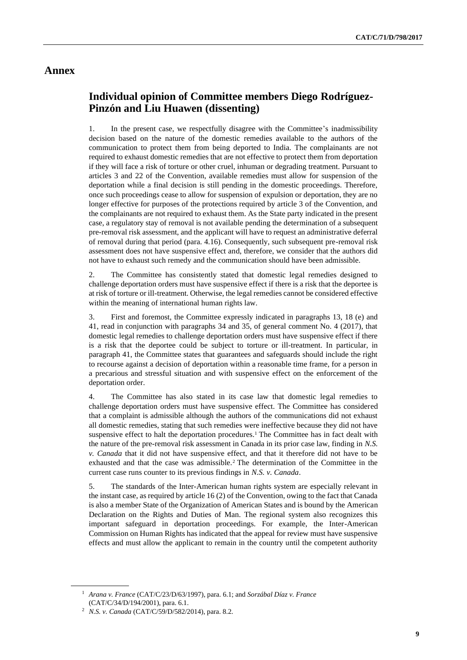### **Annex**

### **Individual opinion of Committee members Diego Rodríguez-Pinzón and Liu Huawen (dissenting)**

1. In the present case, we respectfully disagree with the Committee's inadmissibility decision based on the nature of the domestic remedies available to the authors of the communication to protect them from being deported to India. The complainants are not required to exhaust domestic remedies that are not effective to protect them from deportation if they will face a risk of torture or other cruel, inhuman or degrading treatment. Pursuant to articles 3 and 22 of the Convention, available remedies must allow for suspension of the deportation while a final decision is still pending in the domestic proceedings. Therefore, once such proceedings cease to allow for suspension of expulsion or deportation, they are no longer effective for purposes of the protections required by article 3 of the Convention, and the complainants are not required to exhaust them. As the State party indicated in the present case, a regulatory stay of removal is not available pending the determination of a subsequent pre-removal risk assessment, and the applicant will have to request an administrative deferral of removal during that period (para. 4.16). Consequently, such subsequent pre-removal risk assessment does not have suspensive effect and, therefore, we consider that the authors did not have to exhaust such remedy and the communication should have been admissible.

2. The Committee has consistently stated that domestic legal remedies designed to challenge deportation orders must have suspensive effect if there is a risk that the deportee is at risk of torture or ill-treatment. Otherwise, the legal remedies cannot be considered effective within the meaning of international human rights law.

3. First and foremost, the Committee expressly indicated in paragraphs 13, 18 (e) and 41, read in conjunction with paragraphs 34 and 35, of general comment No. 4 (2017), that domestic legal remedies to challenge deportation orders must have suspensive effect if there is a risk that the deportee could be subject to torture or ill-treatment. In particular, in paragraph 41, the Committee states that guarantees and safeguards should include the right to recourse against a decision of deportation within a reasonable time frame, for a person in a precarious and stressful situation and with suspensive effect on the enforcement of the deportation order.

4. The Committee has also stated in its case law that domestic legal remedies to challenge deportation orders must have suspensive effect. The Committee has considered that a complaint is admissible although the authors of the communications did not exhaust all domestic remedies, stating that such remedies were ineffective because they did not have suspensive effect to halt the deportation procedures.<sup>1</sup> The Committee has in fact dealt with the nature of the pre-removal risk assessment in Canada in its prior case law, finding in *N.S. v. Canada* that it did not have suspensive effect, and that it therefore did not have to be exhausted and that the case was admissible.<sup>2</sup> The determination of the Committee in the current case runs counter to its previous findings in *N.S. v. Canada*.

5. The standards of the Inter-American human rights system are especially relevant in the instant case, as required by article 16 (2) of the Convention, owing to the fact that Canada is also a member State of the Organization of American States and is bound by the American Declaration on the Rights and Duties of Man. The regional system also recognizes this important safeguard in deportation proceedings. For example, the Inter-American Commission on Human Rights has indicated that the appeal for review must have suspensive effects and must allow the applicant to remain in the country until the competent authority

<sup>1</sup> *Arana v. France* (CAT/C/23/D/63/1997), para. 6.1; and *Sorzábal Díaz v. France* (CAT/C/34/D/194/2001), para. 6.1.

<sup>2</sup> *N.S. v. Canada* (CAT/C/59/D/582/2014), para. 8.2.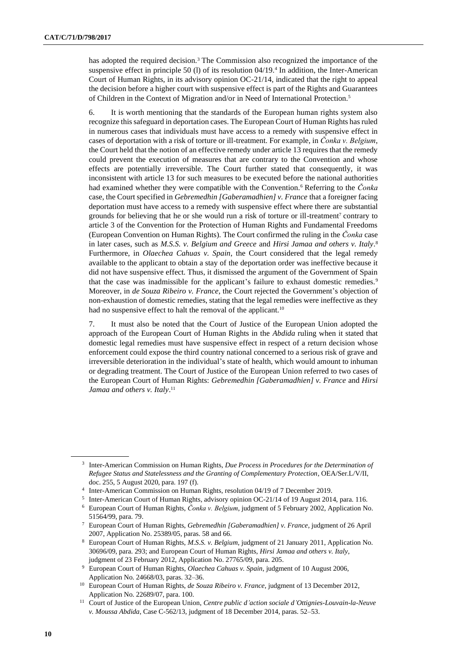has adopted the required decision.<sup>3</sup> The Commission also recognized the importance of the suspensive effect in principle 50 (l) of its resolution 04/19.<sup>4</sup> In addition, the Inter-American Court of Human Rights, in its advisory opinion OC-21/14, indicated that the right to appeal the decision before a higher court with suspensive effect is part of the Rights and Guarantees of Children in the Context of Migration and/or in Need of International Protection.<sup>5</sup>

6. It is worth mentioning that the standards of the European human rights system also recognize this safeguard in deportation cases. The European Court of Human Rights has ruled in numerous cases that individuals must have access to a remedy with suspensive effect in cases of deportation with a risk of torture or ill-treatment. For example, in *Čonka v. Belgium*, the Court held that the notion of an effective remedy under article 13 requires that the remedy could prevent the execution of measures that are contrary to the Convention and whose effects are potentially irreversible. The Court further stated that consequently, it was inconsistent with article 13 for such measures to be executed before the national authorities had examined whether they were compatible with the Convention.<sup>6</sup> Referring to the *Čonka* case, the Court specified in *Gebremedhin [Gaberamadhien] v. France* that a foreigner facing deportation must have access to a remedy with suspensive effect where there are substantial grounds for believing that he or she would run a risk of torture or ill-treatment<sup>7</sup> contrary to article 3 of the Convention for the Protection of Human Rights and Fundamental Freedoms (European Convention on Human Rights). The Court confirmed the ruling in the *Čonka* case in later cases, such as *M.S.S. v. Belgium and Greece* and *Hirsi Jamaa and others v. Italy*. 8 Furthermore, in *Olaechea Cahuas v. Spain*, the Court considered that the legal remedy available to the applicant to obtain a stay of the deportation order was ineffective because it did not have suspensive effect. Thus, it dismissed the argument of the Government of Spain that the case was inadmissible for the applicant's failure to exhaust domestic remedies.<sup>9</sup> Moreover, in *de Souza Ribeiro v. France*, the Court rejected the Government's objection of non-exhaustion of domestic remedies, stating that the legal remedies were ineffective as they had no suspensive effect to halt the removal of the applicant.<sup>10</sup>

7. It must also be noted that the Court of Justice of the European Union adopted the approach of the European Court of Human Rights in the *Abdida* ruling when it stated that domestic legal remedies must have suspensive effect in respect of a return decision whose enforcement could expose the third country national concerned to a serious risk of grave and irreversible deterioration in the individual's state of health, which would amount to inhuman or degrading treatment. The Court of Justice of the European Union referred to two cases of the European Court of Human Rights: *Gebremedhin [Gaberamadhien] v. France* and *Hirsi*  Jamaa and others v. Italy.<sup>11</sup>

<sup>3</sup> Inter-American Commission on Human Rights, *Due Process in Procedures for the Determination of Refugee Status and Statelessness and the Granting of Complementary Protection*, OEA/Ser.L/V/II, doc. 255, 5 August 2020, para. 197 (f).

<sup>&</sup>lt;sup>4</sup> Inter-American Commission on Human Rights, resolution 04/19 of 7 December 2019.

<sup>5</sup> Inter-American Court of Human Rights, advisory opinion OC-21/14 of 19 August 2014, para. 116.

<sup>6</sup> European Court of Human Rights, *Čonka v. Belgium*, judgment of 5 February 2002, Application No. 51564/99, para. 79.

<sup>7</sup> European Court of Human Rights, *Gebremedhin [Gaberamadhien] v. France*, judgment of 26 April 2007, Application No. 25389/05, paras. 58 and 66.

<sup>8</sup> European Court of Human Rights, *M.S.S. v. Belgium*, judgment of 21 January 2011, Application No. 30696/09, para. 293; and European Court of Human Rights, *Hirsi Jamaa and others v. Italy*, judgment of 23 February 2012, Application No. 27765/09, para. 205.

<sup>9</sup> European Court of Human Rights, *Olaechea Cahuas v. Spain*, judgment of 10 August 2006, Application No. 24668/03, paras. 32–36.

<sup>10</sup> European Court of Human Rights, *de Souza Ribeiro v. France*, judgment of 13 December 2012, Application No. 22689/07, para. 100.

<sup>11</sup> Court of Justice of the European Union, *Centre public d'action sociale d'Ottignies-Louvain-la-Neuve v. Moussa Abdida*, Case C-562/13, judgment of 18 December 2014, paras. 52–53.